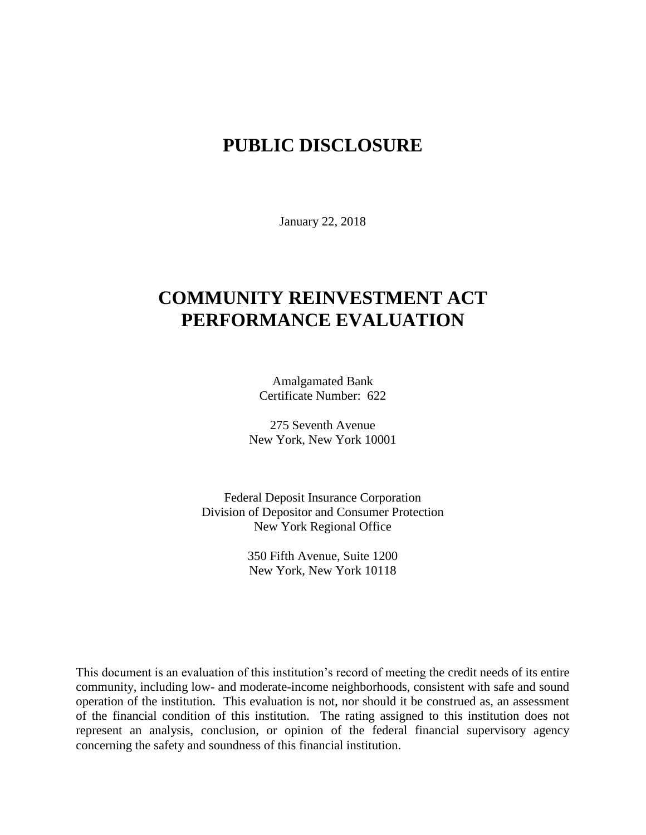## **PUBLIC DISCLOSURE**

January 22, 2018

# **COMMUNITY REINVESTMENT ACT PERFORMANCE EVALUATION**

Amalgamated Bank Certificate Number: 622

275 Seventh Avenue New York, New York 10001

Federal Deposit Insurance Corporation Division of Depositor and Consumer Protection New York Regional Office

> 350 Fifth Avenue, Suite 1200 New York, New York 10118

This document is an evaluation of this institution's record of meeting the credit needs of its entire community, including low- and moderate-income neighborhoods, consistent with safe and sound operation of the institution.This evaluation is not, nor should it be construed as, an assessment of the financial condition of this institution. The rating assigned to this institution does not represent an analysis, conclusion, or opinion of the federal financial supervisory agency concerning the safety and soundness of this financial institution.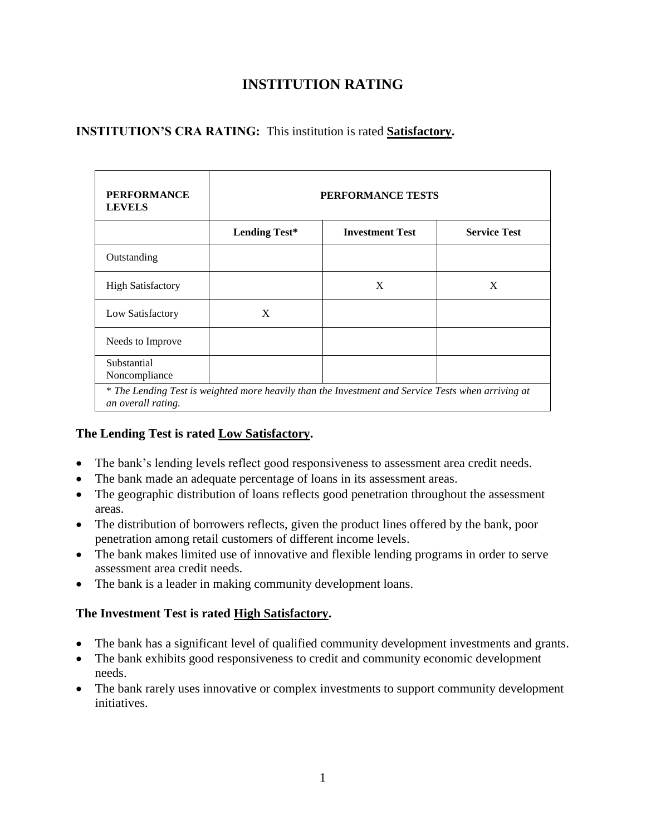### **INSTITUTION RATING**

### **INSTITUTION'S CRA RATING:** This institution is rated **Satisfactory.**

| <b>PERFORMANCE</b><br><b>LEVELS</b> | PERFORMANCE TESTS    |                                                                                                    |                     |
|-------------------------------------|----------------------|----------------------------------------------------------------------------------------------------|---------------------|
|                                     | <b>Lending Test*</b> | <b>Investment Test</b>                                                                             | <b>Service Test</b> |
| Outstanding                         |                      |                                                                                                    |                     |
| <b>High Satisfactory</b>            |                      | X                                                                                                  | X                   |
| Low Satisfactory                    | X                    |                                                                                                    |                     |
| Needs to Improve                    |                      |                                                                                                    |                     |
| Substantial<br>Noncompliance        |                      |                                                                                                    |                     |
| an overall rating.                  |                      | * The Lending Test is weighted more heavily than the Investment and Service Tests when arriving at |                     |

#### **The Lending Test is rated Low Satisfactory.**

- The bank's lending levels reflect good responsiveness to assessment area credit needs.
- The bank made an adequate percentage of loans in its assessment areas.
- The geographic distribution of loans reflects good penetration throughout the assessment areas.
- The distribution of borrowers reflects, given the product lines offered by the bank, poor penetration among retail customers of different income levels.
- The bank makes limited use of innovative and flexible lending programs in order to serve assessment area credit needs.
- The bank is a leader in making community development loans.

#### **The Investment Test is rated High Satisfactory.**

- The bank has a significant level of qualified community development investments and grants.
- The bank exhibits good responsiveness to credit and community economic development needs.
- The bank rarely uses innovative or complex investments to support community development initiatives.